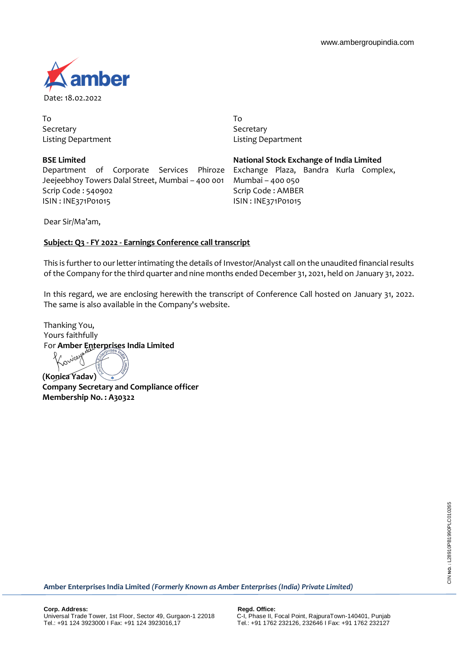

To Secretary Listing Department

**BSE Limited** Department of Corporate Services Phiroze Jeejeebhoy Towers Dalal Street, Mumbai – 400 001 Scrip Code : 540902 ISIN : INE371P01015

To **Secretary** Listing Department

**National Stock Exchange of India Limited** Exchange Plaza, Bandra Kurla Complex, Mumbai – 400 050 Scrip Code : AMBER ISIN : INE371P01015

Dear Sir/Ma'am,

# **Subject: Q3 - FY 2022 - Earnings Conference call transcript**

This is further to our letter intimating the details of Investor/Analyst call on the unaudited financial results of the Company for the third quarter and nine months ended December 31, 2021, held on January 31, 2022.

In this regard, we are enclosing herewith the transcript of Conference Call hosted on January 31, 2022. The same is also available in the Company's website.

Thanking You, Yours faithfully For **Amber Enterprises India Limited**<br> $\chi_{\alpha}$  is the set of the set of the set of the set of the set of the set of the set of the set of the set of the set of the set of the set of the set of the set of the set of the set

**(Konica Yadav) Company Secretary and Compliance officer Membership No. : A30322**

**Amber Enterprises India Limited** *(Formerly Known as Amber Enterprises (India) Private Limited)*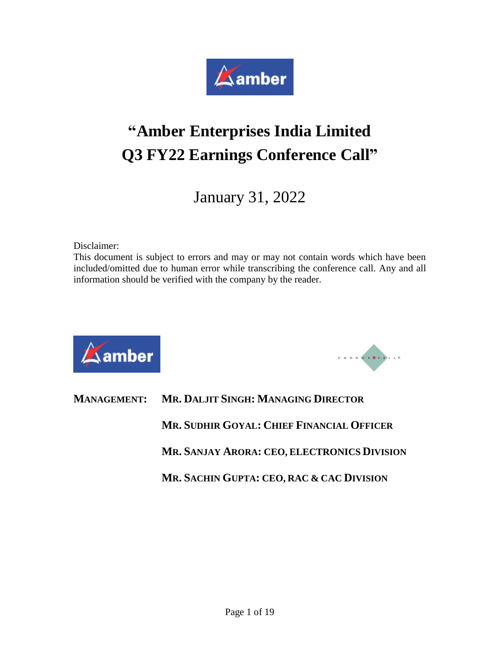

# **"Amber Enterprises India Limited Q3 FY22 Earnings Conference Call"**

January 31, 2022

Disclaimer:

This document is subject to errors and may or may not contain words which have been included/omitted due to human error while transcribing the conference call. Any and all information should be verified with the company by the reader.





|  | <b>MANAGEMENT: MR. DALJIT SINGH: MANAGING DIRECTOR</b> |
|--|--------------------------------------------------------|
|  | MR. SUDHIR GOYAL: CHIEF FINANCIAL OFFICER              |
|  | MR. SANJAY ARORA: CEO, ELECTRONICS DIVISION            |
|  | MR. SACHIN GUPTA: CEO, RAC & CAC DIVISION              |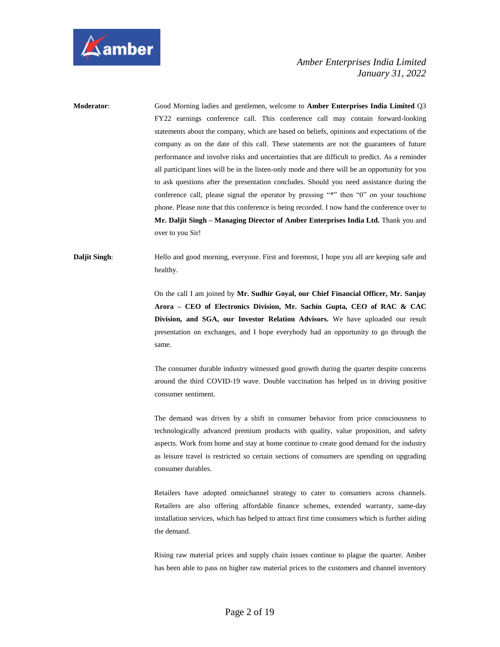

**Moderator**: Good Morning ladies and gentlemen, welcome to **Amber Enterprises India Limited** Q3 FY22 earnings conference call. This conference call may contain forward-looking statements about the company, which are based on beliefs, opinions and expectations of the company as on the date of this call. These statements are not the guarantees of future performance and involve risks and uncertainties that are difficult to predict. As a reminder all participant lines will be in the listen-only mode and there will be an opportunity for you to ask questions after the presentation concludes. Should you need assistance during the conference call, please signal the operator by pressing "\*" then "0" on your touchtone phone. Please note that this conference is being recorded. I now hand the conference over to **Mr. Daljit Singh – Managing Director of Amber Enterprises India Ltd.** Thank you and over to you Sir!

**Daljit Singh:** Hello and good morning, everyone. First and foremost, I hope you all are keeping safe and healthy.

> On the call I am joined by **Mr. Sudhir Goyal, our Chief Financial Officer, Mr. Sanjay Arora – CEO of Electronics Division, Mr. Sachin Gupta, CEO of RAC & CAC Division, and SGA, our Investor Relation Advisors.** We have uploaded our result presentation on exchanges, and I hope everybody had an opportunity to go through the same.

> The consumer durable industry witnessed good growth during the quarter despite concerns around the third COVID-19 wave. Double vaccination has helped us in driving positive consumer sentiment.

> The demand was driven by a shift in consumer behavior from price consciousness to technologically advanced premium products with quality, value proposition, and safety aspects. Work from home and stay at home continue to create good demand for the industry as leisure travel is restricted so certain sections of consumers are spending on upgrading consumer durables.

> Retailers have adopted omnichannel strategy to cater to consumers across channels. Retailers are also offering affordable finance schemes, extended warranty, same-day installation services, which has helped to attract first time consumers which is further aiding the demand.

> Rising raw material prices and supply chain issues continue to plague the quarter. Amber has been able to pass on higher raw material prices to the customers and channel inventory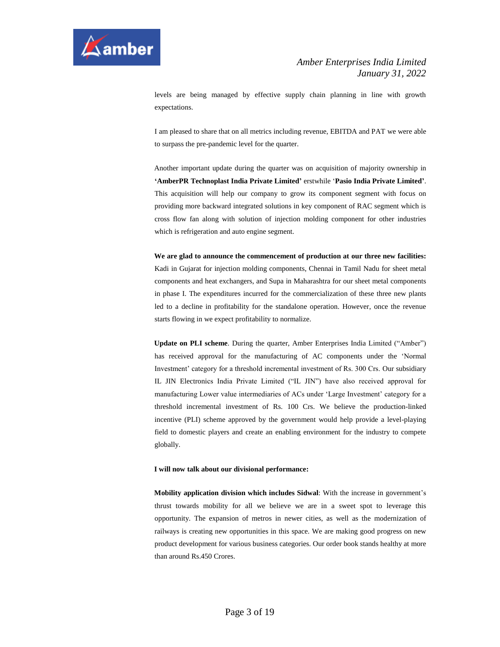

levels are being managed by effective supply chain planning in line with growth expectations.

I am pleased to share that on all metrics including revenue, EBITDA and PAT we were able to surpass the pre-pandemic level for the quarter.

Another important update during the quarter was on acquisition of majority ownership in **'AmberPR Technoplast India Private Limited'** erstwhile '**Pasio India Private Limited'**. This acquisition will help our company to grow its component segment with focus on providing more backward integrated solutions in key component of RAC segment which is cross flow fan along with solution of injection molding component for other industries which is refrigeration and auto engine segment.

**We are glad to announce the commencement of production at our three new facilities:** Kadi in Gujarat for injection molding components, Chennai in Tamil Nadu for sheet metal components and heat exchangers, and Supa in Maharashtra for our sheet metal components in phase I. The expenditures incurred for the commercialization of these three new plants led to a decline in profitability for the standalone operation. However, once the revenue starts flowing in we expect profitability to normalize.

**Update on PLI scheme**. During the quarter, Amber Enterprises India Limited ("Amber") has received approval for the manufacturing of AC components under the 'Normal Investment' category for a threshold incremental investment of Rs. 300 Crs. Our subsidiary IL JIN Electronics India Private Limited ("IL JIN") have also received approval for manufacturing Lower value intermediaries of ACs under 'Large Investment' category for a threshold incremental investment of Rs. 100 Crs. We believe the production-linked incentive (PLI) scheme approved by the government would help provide a level-playing field to domestic players and create an enabling environment for the industry to compete globally.

#### **I will now talk about our divisional performance:**

**Mobility application division which includes Sidwal**: With the increase in government's thrust towards mobility for all we believe we are in a sweet spot to leverage this opportunity. The expansion of metros in newer cities, as well as the modernization of railways is creating new opportunities in this space. We are making good progress on new product development for various business categories. Our order book stands healthy at more than around Rs.450 Crores.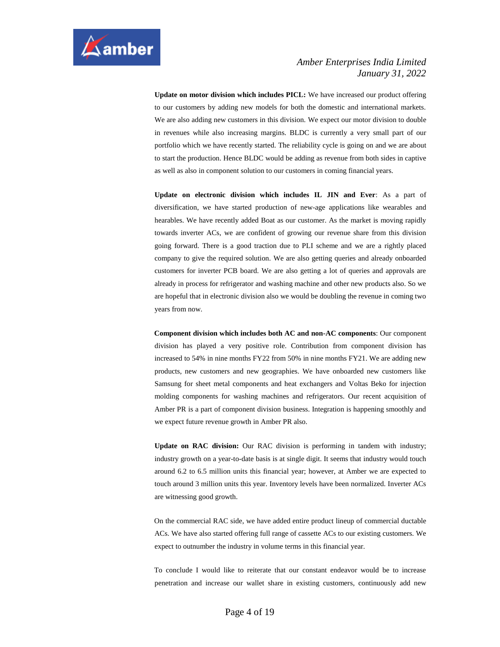

**Update on motor division which includes PICL:** We have increased our product offering to our customers by adding new models for both the domestic and international markets. We are also adding new customers in this division. We expect our motor division to double in revenues while also increasing margins. BLDC is currently a very small part of our portfolio which we have recently started. The reliability cycle is going on and we are about to start the production. Hence BLDC would be adding as revenue from both sides in captive as well as also in component solution to our customers in coming financial years.

**Update on electronic division which includes IL JIN and Ever**: As a part of diversification, we have started production of new-age applications like wearables and hearables. We have recently added Boat as our customer. As the market is moving rapidly towards inverter ACs, we are confident of growing our revenue share from this division going forward. There is a good traction due to PLI scheme and we are a rightly placed company to give the required solution. We are also getting queries and already onboarded customers for inverter PCB board. We are also getting a lot of queries and approvals are already in process for refrigerator and washing machine and other new products also. So we are hopeful that in electronic division also we would be doubling the revenue in coming two years from now.

**Component division which includes both AC and non-AC components**: Our component division has played a very positive role. Contribution from component division has increased to 54% in nine months FY22 from 50% in nine months FY21. We are adding new products, new customers and new geographies. We have onboarded new customers like Samsung for sheet metal components and heat exchangers and Voltas Beko for injection molding components for washing machines and refrigerators. Our recent acquisition of Amber PR is a part of component division business. Integration is happening smoothly and we expect future revenue growth in Amber PR also.

**Update on RAC division:** Our RAC division is performing in tandem with industry; industry growth on a year-to-date basis is at single digit. It seems that industry would touch around 6.2 to 6.5 million units this financial year; however, at Amber we are expected to touch around 3 million units this year. Inventory levels have been normalized. Inverter ACs are witnessing good growth.

On the commercial RAC side, we have added entire product lineup of commercial ductable ACs. We have also started offering full range of cassette ACs to our existing customers. We expect to outnumber the industry in volume terms in this financial year.

To conclude I would like to reiterate that our constant endeavor would be to increase penetration and increase our wallet share in existing customers, continuously add new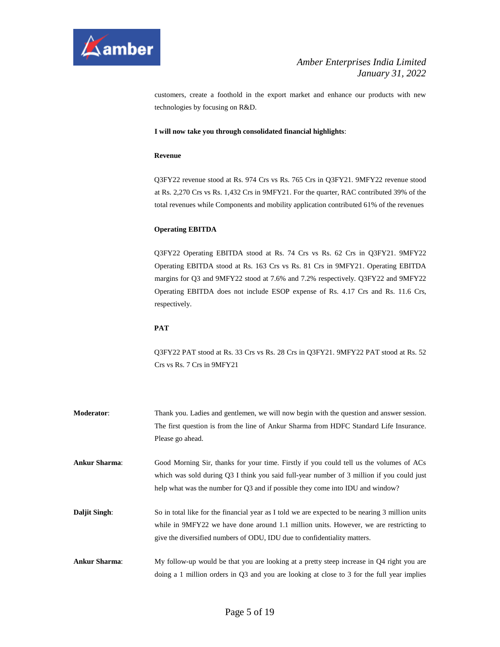

customers, create a foothold in the export market and enhance our products with new technologies by focusing on R&D.

#### **I will now take you through consolidated financial highlights**:

#### **Revenue**

Q3FY22 revenue stood at Rs. 974 Crs vs Rs. 765 Crs in Q3FY21. 9MFY22 revenue stood at Rs. 2,270 Crs vs Rs. 1,432 Crs in 9MFY21. For the quarter, RAC contributed 39% of the total revenues while Components and mobility application contributed 61% of the revenues

#### **Operating EBITDA**

Q3FY22 Operating EBITDA stood at Rs. 74 Crs vs Rs. 62 Crs in Q3FY21. 9MFY22 Operating EBITDA stood at Rs. 163 Crs vs Rs. 81 Crs in 9MFY21. Operating EBITDA margins for Q3 and 9MFY22 stood at 7.6% and 7.2% respectively. Q3FY22 and 9MFY22 Operating EBITDA does not include ESOP expense of Rs. 4.17 Crs and Rs. 11.6 Crs, respectively.

#### **PAT**

Q3FY22 PAT stood at Rs. 33 Crs vs Rs. 28 Crs in Q3FY21. 9MFY22 PAT stood at Rs. 52 Crs vs Rs. 7 Crs in 9MFY21

**Moderator**: Thank you. Ladies and gentlemen, we will now begin with the question and answer session. The first question is from the line of Ankur Sharma from HDFC Standard Life Insurance. Please go ahead. **Ankur Sharma**: Good Morning Sir, thanks for your time. Firstly if you could tell us the volumes of ACs which was sold during Q3 I think you said full-year number of 3 million if you could just help what was the number for Q3 and if possible they come into IDU and window? **Daljit Singh:** So in total like for the financial year as I told we are expected to be nearing 3 million units while in 9MFY22 we have done around 1.1 million units. However, we are restricting to give the diversified numbers of ODU, IDU due to confidentiality matters.

**Ankur Sharma**: My follow-up would be that you are looking at a pretty steep increase in Q4 right you are doing a 1 million orders in Q3 and you are looking at close to 3 for the full year implies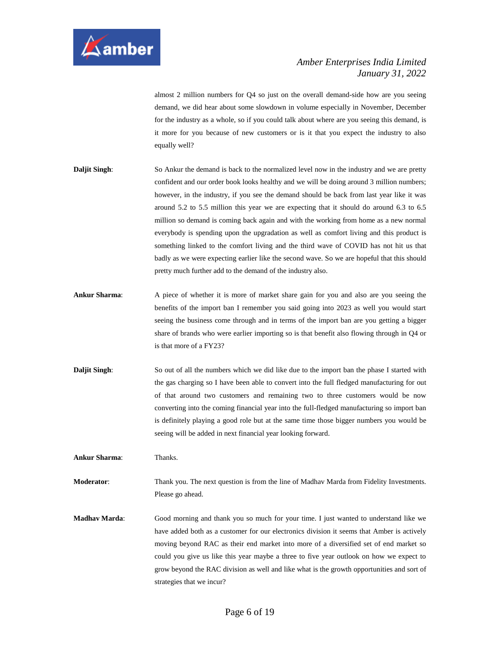

almost 2 million numbers for Q4 so just on the overall demand-side how are you seeing demand, we did hear about some slowdown in volume especially in November, December for the industry as a whole, so if you could talk about where are you seeing this demand, is it more for you because of new customers or is it that you expect the industry to also equally well?

- **Daljit Singh:** So Ankur the demand is back to the normalized level now in the industry and we are pretty confident and our order book looks healthy and we will be doing around 3 million numbers; however, in the industry, if you see the demand should be back from last year like it was around 5.2 to 5.5 million this year we are expecting that it should do around 6.3 to 6.5 million so demand is coming back again and with the working from home as a new normal everybody is spending upon the upgradation as well as comfort living and this product is something linked to the comfort living and the third wave of COVID has not hit us that badly as we were expecting earlier like the second wave. So we are hopeful that this should pretty much further add to the demand of the industry also.
- **Ankur Sharma**: A piece of whether it is more of market share gain for you and also are you seeing the benefits of the import ban I remember you said going into 2023 as well you would start seeing the business come through and in terms of the import ban are you getting a bigger share of brands who were earlier importing so is that benefit also flowing through in Q4 or is that more of a FY23?
- **Daljit Singh:** So out of all the numbers which we did like due to the import ban the phase I started with the gas charging so I have been able to convert into the full fledged manufacturing for out of that around two customers and remaining two to three customers would be now converting into the coming financial year into the full-fledged manufacturing so import ban is definitely playing a good role but at the same time those bigger numbers you would be seeing will be added in next financial year looking forward.

**Ankur Sharma**: Thanks.

**Moderator**: Thank you. The next question is from the line of Madhav Marda from Fidelity Investments. Please go ahead.

**Madhav Marda**: Good morning and thank you so much for your time. I just wanted to understand like we have added both as a customer for our electronics division it seems that Amber is actively moving beyond RAC as their end market into more of a diversified set of end market so could you give us like this year maybe a three to five year outlook on how we expect to grow beyond the RAC division as well and like what is the growth opportunities and sort of strategies that we incur?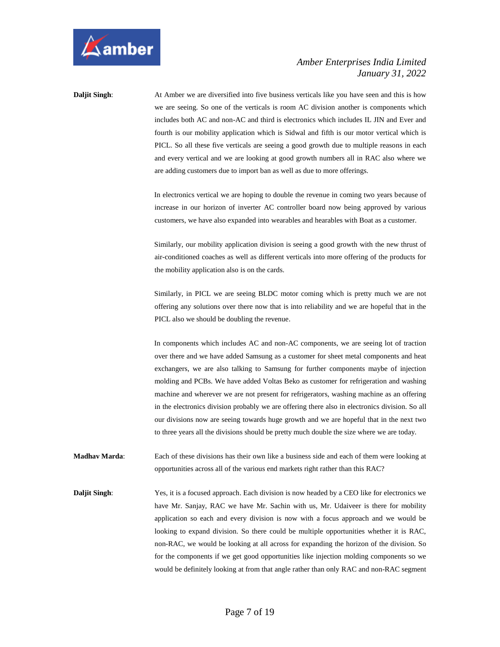

**Daljit Singh:** At Amber we are diversified into five business verticals like you have seen and this is how we are seeing. So one of the verticals is room AC division another is components which includes both AC and non-AC and third is electronics which includes IL JIN and Ever and fourth is our mobility application which is Sidwal and fifth is our motor vertical which is PICL. So all these five verticals are seeing a good growth due to multiple reasons in each and every vertical and we are looking at good growth numbers all in RAC also where we are adding customers due to import ban as well as due to more offerings.

> In electronics vertical we are hoping to double the revenue in coming two years because of increase in our horizon of inverter AC controller board now being approved by various customers, we have also expanded into wearables and hearables with Boat as a customer.

> Similarly, our mobility application division is seeing a good growth with the new thrust of air-conditioned coaches as well as different verticals into more offering of the products for the mobility application also is on the cards.

> Similarly, in PICL we are seeing BLDC motor coming which is pretty much we are not offering any solutions over there now that is into reliability and we are hopeful that in the PICL also we should be doubling the revenue.

> In components which includes AC and non-AC components, we are seeing lot of traction over there and we have added Samsung as a customer for sheet metal components and heat exchangers, we are also talking to Samsung for further components maybe of injection molding and PCBs. We have added Voltas Beko as customer for refrigeration and washing machine and wherever we are not present for refrigerators, washing machine as an offering in the electronics division probably we are offering there also in electronics division. So all our divisions now are seeing towards huge growth and we are hopeful that in the next two to three years all the divisions should be pretty much double the size where we are today.

**Madhav Marda**: Each of these divisions has their own like a business side and each of them were looking at opportunities across all of the various end markets right rather than this RAC?

**Daljit Singh:** Yes, it is a focused approach. Each division is now headed by a CEO like for electronics we have Mr. Sanjay, RAC we have Mr. Sachin with us, Mr. Udaiveer is there for mobility application so each and every division is now with a focus approach and we would be looking to expand division. So there could be multiple opportunities whether it is RAC, non-RAC, we would be looking at all across for expanding the horizon of the division. So for the components if we get good opportunities like injection molding components so we would be definitely looking at from that angle rather than only RAC and non-RAC segment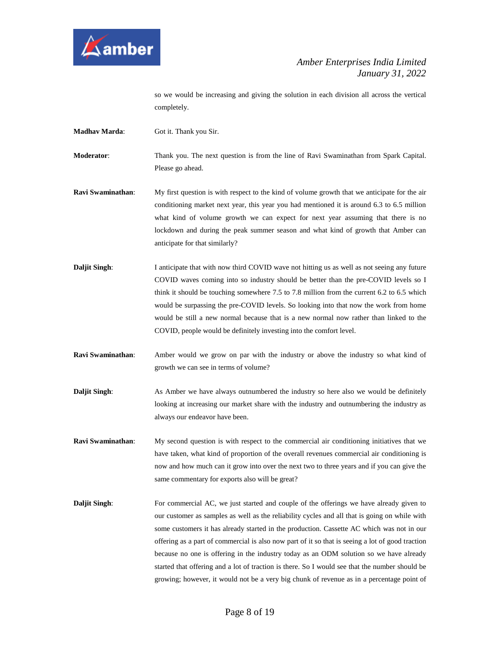

so we would be increasing and giving the solution in each division all across the vertical completely.

**Madhav Marda**: Got it. Thank you Sir.

**Moderator**: Thank you. The next question is from the line of Ravi Swaminathan from Spark Capital. Please go ahead.

- **Ravi Swaminathan**: My first question is with respect to the kind of volume growth that we anticipate for the air conditioning market next year, this year you had mentioned it is around 6.3 to 6.5 million what kind of volume growth we can expect for next year assuming that there is no lockdown and during the peak summer season and what kind of growth that Amber can anticipate for that similarly?
- **Daljit Singh:** I anticipate that with now third COVID wave not hitting us as well as not seeing any future COVID waves coming into so industry should be better than the pre-COVID levels so I think it should be touching somewhere 7.5 to 7.8 million from the current 6.2 to 6.5 which would be surpassing the pre-COVID levels. So looking into that now the work from home would be still a new normal because that is a new normal now rather than linked to the COVID, people would be definitely investing into the comfort level.
- **Ravi Swaminathan**: Amber would we grow on par with the industry or above the industry so what kind of growth we can see in terms of volume?
- **Daljit Singh:** As Amber we have always outnumbered the industry so here also we would be definitely looking at increasing our market share with the industry and outnumbering the industry as always our endeavor have been.
- **Ravi Swaminathan:** My second question is with respect to the commercial air conditioning initiatives that we have taken, what kind of proportion of the overall revenues commercial air conditioning is now and how much can it grow into over the next two to three years and if you can give the same commentary for exports also will be great?
- **Daljit Singh:** For commercial AC, we just started and couple of the offerings we have already given to our customer as samples as well as the reliability cycles and all that is going on while with some customers it has already started in the production. Cassette AC which was not in our offering as a part of commercial is also now part of it so that is seeing a lot of good traction because no one is offering in the industry today as an ODM solution so we have already started that offering and a lot of traction is there. So I would see that the number should be growing; however, it would not be a very big chunk of revenue as in a percentage point of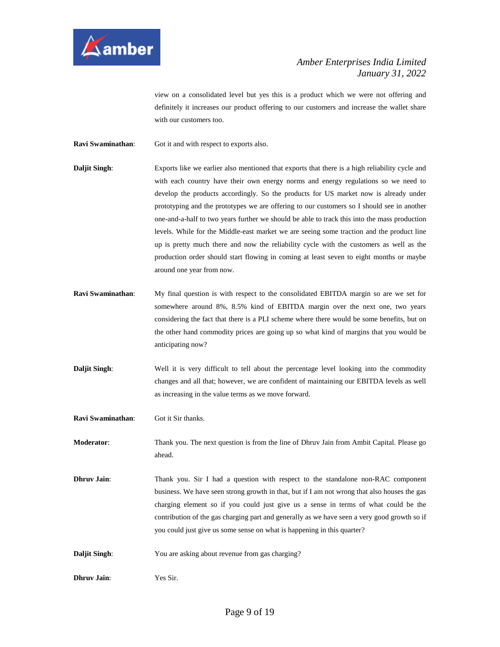

view on a consolidated level but yes this is a product which we were not offering and definitely it increases our product offering to our customers and increase the wallet share with our customers too.

**Ravi Swaminathan:** Got it and with respect to exports also.

- **Daljit Singh:** Exports like we earlier also mentioned that exports that there is a high reliability cycle and with each country have their own energy norms and energy regulations so we need to develop the products accordingly. So the products for US market now is already under prototyping and the prototypes we are offering to our customers so I should see in another one-and-a-half to two years further we should be able to track this into the mass production levels. While for the Middle-east market we are seeing some traction and the product line up is pretty much there and now the reliability cycle with the customers as well as the production order should start flowing in coming at least seven to eight months or maybe around one year from now.
- **Ravi Swaminathan**: My final question is with respect to the consolidated EBITDA margin so are we set for somewhere around 8%, 8.5% kind of EBITDA margin over the next one, two years considering the fact that there is a PLI scheme where there would be some benefits, but on the other hand commodity prices are going up so what kind of margins that you would be anticipating now?
- **Daljit Singh:** Well it is very difficult to tell about the percentage level looking into the commodity changes and all that; however, we are confident of maintaining our EBITDA levels as well as increasing in the value terms as we move forward.

**Ravi Swaminathan**: Got it Sir thanks.

**Moderator**: Thank you. The next question is from the line of Dhruv Jain from Ambit Capital. Please go ahead.

**Dhruv Jain**: Thank you. Sir I had a question with respect to the standalone non-RAC component business. We have seen strong growth in that, but if I am not wrong that also houses the gas charging element so if you could just give us a sense in terms of what could be the contribution of the gas charging part and generally as we have seen a very good growth so if you could just give us some sense on what is happening in this quarter?

- **Daljit Singh:** You are asking about revenue from gas charging?
- **Dhruv Jain**: Yes Sir.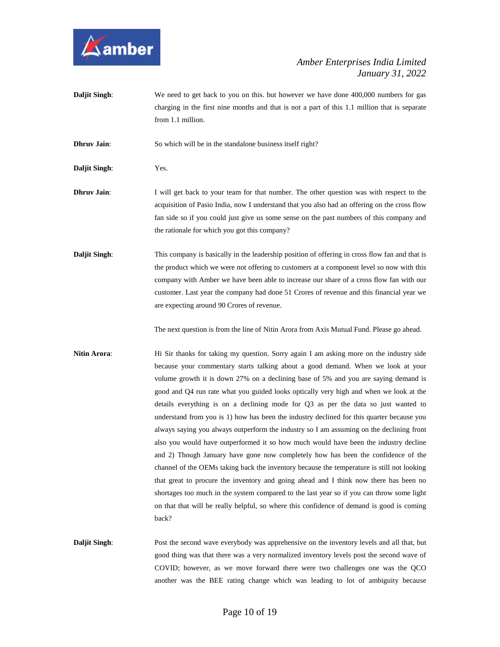

**Daljit Singh:** We need to get back to you on this. but however we have done 400,000 numbers for gas charging in the first nine months and that is not a part of this 1.1 million that is separate from 1.1 million.

**Dhruv Jain:** So which will be in the standalone business itself right?

**Daljit Singh**: Yes.

- **Dhruv Jain**: I will get back to your team for that number. The other question was with respect to the acquisition of Pasio India, now I understand that you also had an offering on the cross flow fan side so if you could just give us some sense on the past numbers of this company and the rationale for which you got this company?
- **Daljit Singh:** This company is basically in the leadership position of offering in cross flow fan and that is the product which we were not offering to customers at a component level so now with this company with Amber we have been able to increase our share of a cross flow fan with our customer. Last year the company had done 51 Crores of revenue and this financial year we are expecting around 90 Crores of revenue.

The next question is from the line of Nitin Arora from Axis Mutual Fund. Please go ahead.

- **Nitin Arora:** Hi Sir thanks for taking my question. Sorry again I am asking more on the industry side because your commentary starts talking about a good demand. When we look at your volume growth it is down 27% on a declining base of 5% and you are saying demand is good and Q4 run rate what you guided looks optically very high and when we look at the details everything is on a declining mode for Q3 as per the data so just wanted to understand from you is 1) how has been the industry declined for this quarter because you always saying you always outperform the industry so I am assuming on the declining front also you would have outperformed it so how much would have been the industry decline and 2) Though January have gone now completely how has been the confidence of the channel of the OEMs taking back the inventory because the temperature is still not looking that great to procure the inventory and going ahead and I think now there has been no shortages too much in the system compared to the last year so if you can throw some light on that that will be really helpful, so where this confidence of demand is good is coming back?
- **Daljit Singh:** Post the second wave everybody was apprehensive on the inventory levels and all that, but good thing was that there was a very normalized inventory levels post the second wave of COVID; however, as we move forward there were two challenges one was the QCO another was the BEE rating change which was leading to lot of ambiguity because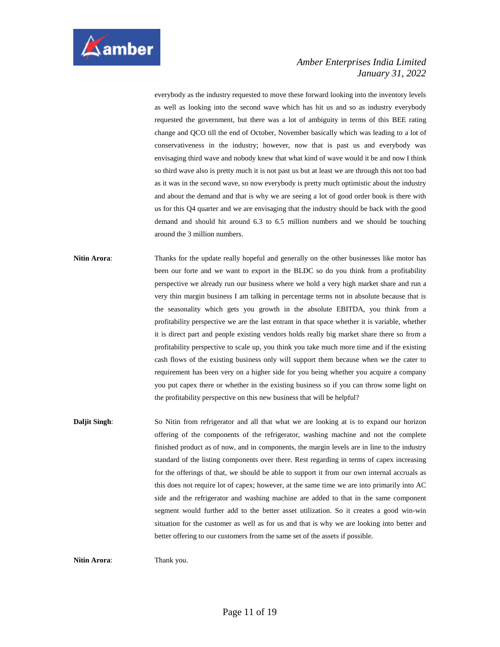

everybody as the industry requested to move these forward looking into the inventory levels as well as looking into the second wave which has hit us and so as industry everybody requested the government, but there was a lot of ambiguity in terms of this BEE rating change and QCO till the end of October, November basically which was leading to a lot of conservativeness in the industry; however, now that is past us and everybody was envisaging third wave and nobody knew that what kind of wave would it be and now I think so third wave also is pretty much it is not past us but at least we are through this not too bad as it was in the second wave, so now everybody is pretty much optimistic about the industry and about the demand and that is why we are seeing a lot of good order book is there with us for this Q4 quarter and we are envisaging that the industry should be back with the good demand and should hit around 6.3 to 6.5 million numbers and we should be touching around the 3 million numbers.

- **Nitin Arora:** Thanks for the update really hopeful and generally on the other businesses like motor has been our forte and we want to export in the BLDC so do you think from a profitability perspective we already run our business where we hold a very high market share and run a very thin margin business I am talking in percentage terms not in absolute because that is the seasonality which gets you growth in the absolute EBITDA, you think from a profitability perspective we are the last entrant in that space whether it is variable, whether it is direct part and people existing vendors holds really big market share there so from a profitability perspective to scale up, you think you take much more time and if the existing cash flows of the existing business only will support them because when we the cater to requirement has been very on a higher side for you being whether you acquire a company you put capex there or whether in the existing business so if you can throw some light on the profitability perspective on this new business that will be helpful?
- **Daljit Singh:** So Nitin from refrigerator and all that what we are looking at is to expand our horizon offering of the components of the refrigerator, washing machine and not the complete finished product as of now, and in components, the margin levels are in line to the industry standard of the listing components over there. Rest regarding in terms of capex increasing for the offerings of that, we should be able to support it from our own internal accruals as this does not require lot of capex; however, at the same time we are into primarily into AC side and the refrigerator and washing machine are added to that in the same component segment would further add to the better asset utilization. So it creates a good win-win situation for the customer as well as for us and that is why we are looking into better and better offering to our customers from the same set of the assets if possible.

**Nitin Arora:** Thank you.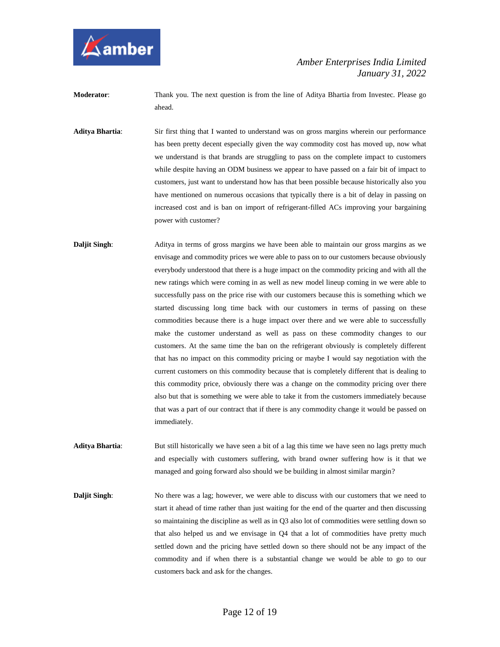

- **Moderator**: Thank you. The next question is from the line of Aditya Bhartia from Investec. Please go ahead.
- **Aditya Bhartia**: Sir first thing that I wanted to understand was on gross margins wherein our performance has been pretty decent especially given the way commodity cost has moved up, now what we understand is that brands are struggling to pass on the complete impact to customers while despite having an ODM business we appear to have passed on a fair bit of impact to customers, just want to understand how has that been possible because historically also you have mentioned on numerous occasions that typically there is a bit of delay in passing on increased cost and is ban on import of refrigerant-filled ACs improving your bargaining power with customer?
- **Daljit Singh:** Aditya in terms of gross margins we have been able to maintain our gross margins as we envisage and commodity prices we were able to pass on to our customers because obviously everybody understood that there is a huge impact on the commodity pricing and with all the new ratings which were coming in as well as new model lineup coming in we were able to successfully pass on the price rise with our customers because this is something which we started discussing long time back with our customers in terms of passing on these commodities because there is a huge impact over there and we were able to successfully make the customer understand as well as pass on these commodity changes to our customers. At the same time the ban on the refrigerant obviously is completely different that has no impact on this commodity pricing or maybe I would say negotiation with the current customers on this commodity because that is completely different that is dealing to this commodity price, obviously there was a change on the commodity pricing over there also but that is something we were able to take it from the customers immediately because that was a part of our contract that if there is any commodity change it would be passed on immediately.
- **Aditya Bhartia:** But still historically we have seen a bit of a lag this time we have seen no lags pretty much and especially with customers suffering, with brand owner suffering how is it that we managed and going forward also should we be building in almost similar margin?
- **Daljit Singh:** No there was a lag; however, we were able to discuss with our customers that we need to start it ahead of time rather than just waiting for the end of the quarter and then discussing so maintaining the discipline as well as in Q3 also lot of commodities were settling down so that also helped us and we envisage in Q4 that a lot of commodities have pretty much settled down and the pricing have settled down so there should not be any impact of the commodity and if when there is a substantial change we would be able to go to our customers back and ask for the changes.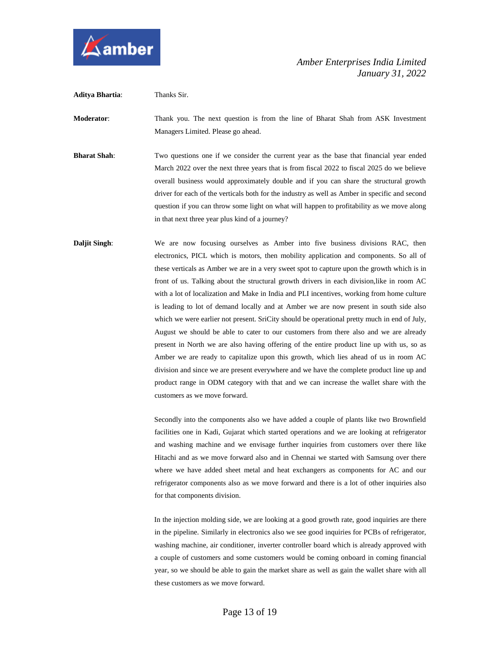

**Aditya Bhartia**: Thanks Sir.

**Moderator**: Thank you. The next question is from the line of Bharat Shah from ASK Investment Managers Limited. Please go ahead.

**Bharat Shah**: Two questions one if we consider the current year as the base that financial year ended March 2022 over the next three years that is from fiscal 2022 to fiscal 2025 do we believe overall business would approximately double and if you can share the structural growth driver for each of the verticals both for the industry as well as Amber in specific and second question if you can throw some light on what will happen to profitability as we move along in that next three year plus kind of a journey?

**Daljit Singh:** We are now focusing ourselves as Amber into five business divisions RAC, then electronics, PICL which is motors, then mobility application and components. So all of these verticals as Amber we are in a very sweet spot to capture upon the growth which is in front of us. Talking about the structural growth drivers in each division,like in room AC with a lot of localization and Make in India and PLI incentives, working from home culture is leading to lot of demand locally and at Amber we are now present in south side also which we were earlier not present. SriCity should be operational pretty much in end of July, August we should be able to cater to our customers from there also and we are already present in North we are also having offering of the entire product line up with us, so as Amber we are ready to capitalize upon this growth, which lies ahead of us in room AC division and since we are present everywhere and we have the complete product line up and product range in ODM category with that and we can increase the wallet share with the customers as we move forward.

> Secondly into the components also we have added a couple of plants like two Brownfield facilities one in Kadi, Gujarat which started operations and we are looking at refrigerator and washing machine and we envisage further inquiries from customers over there like Hitachi and as we move forward also and in Chennai we started with Samsung over there where we have added sheet metal and heat exchangers as components for AC and our refrigerator components also as we move forward and there is a lot of other inquiries also for that components division.

> In the injection molding side, we are looking at a good growth rate, good inquiries are there in the pipeline. Similarly in electronics also we see good inquiries for PCBs of refrigerator, washing machine, air conditioner, inverter controller board which is already approved with a couple of customers and some customers would be coming onboard in coming financial year, so we should be able to gain the market share as well as gain the wallet share with all these customers as we move forward.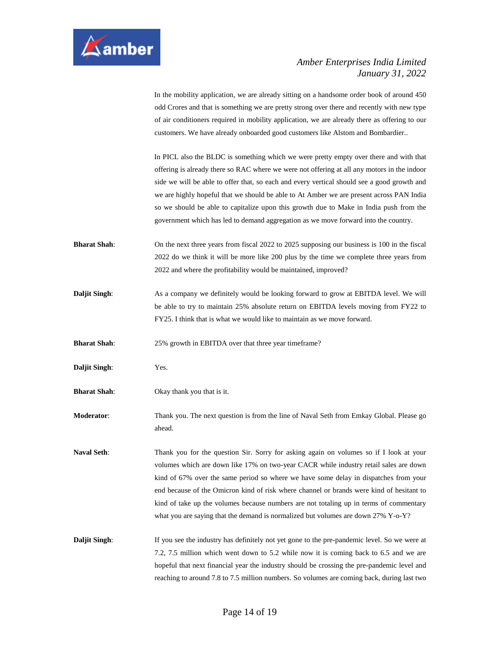

In the mobility application, we are already sitting on a handsome order book of around 450 odd Crores and that is something we are pretty strong over there and recently with new type of air conditioners required in mobility application, we are already there as offering to our customers. We have already onboarded good customers like Alstom and Bombardier..

In PICL also the BLDC is something which we were pretty empty over there and with that offering is already there so RAC where we were not offering at all any motors in the indoor side we will be able to offer that, so each and every vertical should see a good growth and we are highly hopeful that we should be able to At Amber we are present across PAN India so we should be able to capitalize upon this growth due to Make in India push from the government which has led to demand aggregation as we move forward into the country.

- **Bharat Shah**: On the next three years from fiscal 2022 to 2025 supposing our business is 100 in the fiscal 2022 do we think it will be more like 200 plus by the time we complete three years from 2022 and where the profitability would be maintained, improved?
- **Daljit Singh:** As a company we definitely would be looking forward to grow at EBITDA level. We will be able to try to maintain 25% absolute return on EBITDA levels moving from FY22 to FY25. I think that is what we would like to maintain as we move forward.

**Bharat Shah**: 25% growth in EBITDA over that three year timeframe?

**Daljit Singh**: Yes.

**Bharat Shah:** Okay thank you that is it.

**Moderator**: Thank you. The next question is from the line of Naval Seth from Emkay Global. Please go ahead.

**Naval Seth**: Thank you for the question Sir. Sorry for asking again on volumes so if I look at your volumes which are down like 17% on two-year CACR while industry retail sales are down kind of 67% over the same period so where we have some delay in dispatches from your end because of the Omicron kind of risk where channel or brands were kind of hesitant to kind of take up the volumes because numbers are not totaling up in terms of commentary what you are saying that the demand is normalized but volumes are down 27% Y-o-Y?

**Daljit Singh:** If you see the industry has definitely not yet gone to the pre-pandemic level. So we were at 7.2, 7.5 million which went down to 5.2 while now it is coming back to 6.5 and we are hopeful that next financial year the industry should be crossing the pre-pandemic level and reaching to around 7.8 to 7.5 million numbers. So volumes are coming back, during last two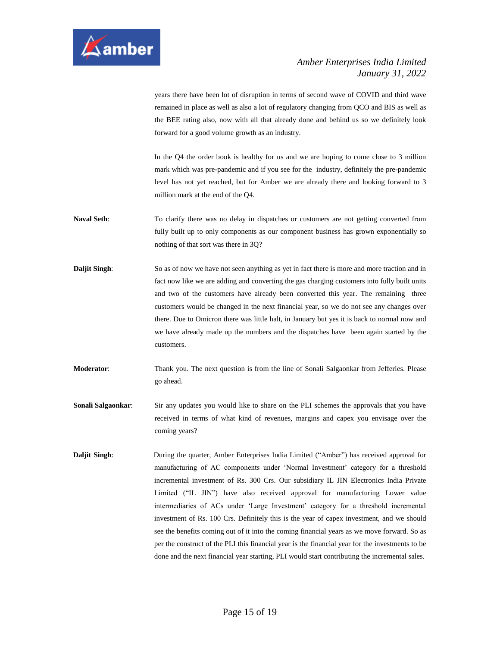

years there have been lot of disruption in terms of second wave of COVID and third wave remained in place as well as also a lot of regulatory changing from QCO and BIS as well as the BEE rating also, now with all that already done and behind us so we definitely look forward for a good volume growth as an industry.

In the Q4 the order book is healthy for us and we are hoping to come close to 3 million mark which was pre-pandemic and if you see for the industry, definitely the pre-pandemic level has not yet reached, but for Amber we are already there and looking forward to 3 million mark at the end of the Q4.

- **Naval Seth**: To clarify there was no delay in dispatches or customers are not getting converted from fully built up to only components as our component business has grown exponentially so nothing of that sort was there in 3Q?
- **Daljit Singh:** So as of now we have not seen anything as yet in fact there is more and more traction and in fact now like we are adding and converting the gas charging customers into fully built units and two of the customers have already been converted this year. The remaining three customers would be changed in the next financial year, so we do not see any changes over there. Due to Omicron there was little halt, in January but yes it is back to normal now and we have already made up the numbers and the dispatches have been again started by the customers.

**Moderator**: Thank you. The next question is from the line of Sonali Salgaonkar from Jefferies. Please go ahead.

- **Sonali Salgaonkar:** Sir any updates you would like to share on the PLI schemes the approvals that you have received in terms of what kind of revenues, margins and capex you envisage over the coming years?
- **Daljit Singh:** During the quarter, Amber Enterprises India Limited ("Amber") has received approval for manufacturing of AC components under 'Normal Investment' category for a threshold incremental investment of Rs. 300 Crs. Our subsidiary IL JIN Electronics India Private Limited ("IL JIN") have also received approval for manufacturing Lower value intermediaries of ACs under 'Large Investment' category for a threshold incremental investment of Rs. 100 Crs. Definitely this is the year of capex investment, and we should see the benefits coming out of it into the coming financial years as we move forward. So as per the construct of the PLI this financial year is the financial year for the investments to be done and the next financial year starting, PLI would start contributing the incremental sales.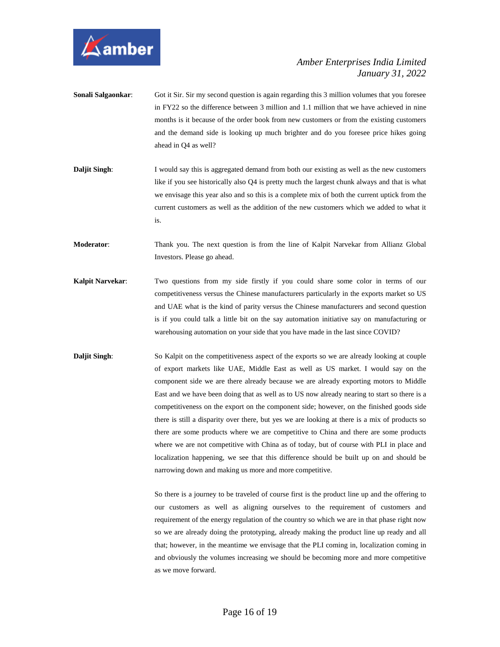

- **Sonali Salgaonkar:** Got it Sir. Sir my second question is again regarding this 3 million volumes that you foresee in FY22 so the difference between 3 million and 1.1 million that we have achieved in nine months is it because of the order book from new customers or from the existing customers and the demand side is looking up much brighter and do you foresee price hikes going ahead in Q4 as well?
- **Daljit Singh:** I would say this is aggregated demand from both our existing as well as the new customers like if you see historically also Q4 is pretty much the largest chunk always and that is what we envisage this year also and so this is a complete mix of both the current uptick from the current customers as well as the addition of the new customers which we added to what it is.
- **Moderator**: Thank you. The next question is from the line of Kalpit Narvekar from Allianz Global Investors. Please go ahead.
- **Kalpit Narvekar**: Two questions from my side firstly if you could share some color in terms of our competitiveness versus the Chinese manufacturers particularly in the exports market so US and UAE what is the kind of parity versus the Chinese manufacturers and second question is if you could talk a little bit on the say automation initiative say on manufacturing or warehousing automation on your side that you have made in the last since COVID?
- **Daljit Singh:** So Kalpit on the competitiveness aspect of the exports so we are already looking at couple of export markets like UAE, Middle East as well as US market. I would say on the component side we are there already because we are already exporting motors to Middle East and we have been doing that as well as to US now already nearing to start so there is a competitiveness on the export on the component side; however, on the finished goods side there is still a disparity over there, but yes we are looking at there is a mix of products so there are some products where we are competitive to China and there are some products where we are not competitive with China as of today, but of course with PLI in place and localization happening, we see that this difference should be built up on and should be narrowing down and making us more and more competitive.

So there is a journey to be traveled of course first is the product line up and the offering to our customers as well as aligning ourselves to the requirement of customers and requirement of the energy regulation of the country so which we are in that phase right now so we are already doing the prototyping, already making the product line up ready and all that; however, in the meantime we envisage that the PLI coming in, localization coming in and obviously the volumes increasing we should be becoming more and more competitive as we move forward.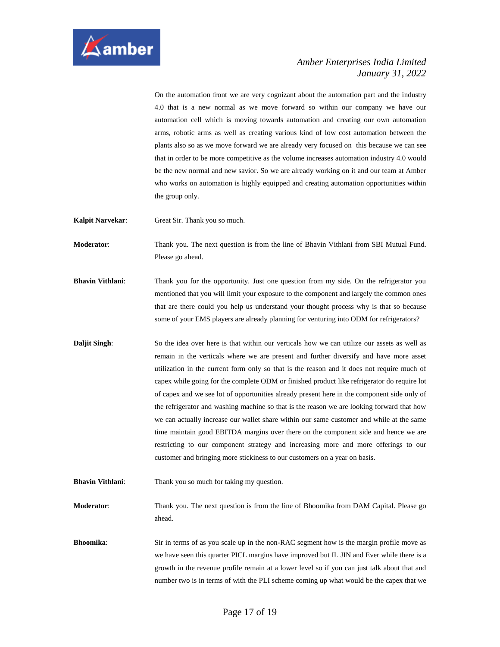

On the automation front we are very cognizant about the automation part and the industry 4.0 that is a new normal as we move forward so within our company we have our automation cell which is moving towards automation and creating our own automation arms, robotic arms as well as creating various kind of low cost automation between the plants also so as we move forward we are already very focused on this because we can see that in order to be more competitive as the volume increases automation industry 4.0 would be the new normal and new savior. So we are already working on it and our team at Amber who works on automation is highly equipped and creating automation opportunities within the group only.

**Kalpit Narvekar**: Great Sir. Thank you so much.

**Moderator**: Thank you. The next question is from the line of Bhavin Vithlani from SBI Mutual Fund. Please go ahead.

**Bhavin Vithlani**: Thank you for the opportunity. Just one question from my side. On the refrigerator you mentioned that you will limit your exposure to the component and largely the common ones that are there could you help us understand your thought process why is that so because some of your EMS players are already planning for venturing into ODM for refrigerators?

- **Daljit Singh:** So the idea over here is that within our verticals how we can utilize our assets as well as remain in the verticals where we are present and further diversify and have more asset utilization in the current form only so that is the reason and it does not require much of capex while going for the complete ODM or finished product like refrigerator do require lot of capex and we see lot of opportunities already present here in the component side only of the refrigerator and washing machine so that is the reason we are looking forward that how we can actually increase our wallet share within our same customer and while at the same time maintain good EBITDA margins over there on the component side and hence we are restricting to our component strategy and increasing more and more offerings to our customer and bringing more stickiness to our customers on a year on basis.
- **Bhavin Vithlani:** Thank you so much for taking my question.

**Moderator**: Thank you. The next question is from the line of Bhoomika from DAM Capital. Please go ahead.

**Bhoomika:** Sir in terms of as you scale up in the non-RAC segment how is the margin profile move as we have seen this quarter PICL margins have improved but IL JIN and Ever while there is a growth in the revenue profile remain at a lower level so if you can just talk about that and number two is in terms of with the PLI scheme coming up what would be the capex that we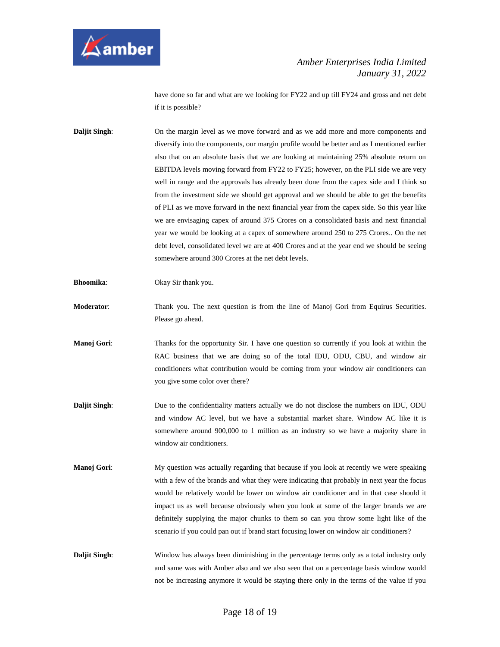

have done so far and what are we looking for FY22 and up till FY24 and gross and net debt if it is possible?

**Daljit Singh:** On the margin level as we move forward and as we add more and more components and diversify into the components, our margin profile would be better and as I mentioned earlier also that on an absolute basis that we are looking at maintaining 25% absolute return on EBITDA levels moving forward from FY22 to FY25; however, on the PLI side we are very well in range and the approvals has already been done from the capex side and I think so from the investment side we should get approval and we should be able to get the benefits of PLI as we move forward in the next financial year from the capex side. So this year like we are envisaging capex of around 375 Crores on a consolidated basis and next financial year we would be looking at a capex of somewhere around 250 to 275 Crores.. On the net debt level, consolidated level we are at 400 Crores and at the year end we should be seeing somewhere around 300 Crores at the net debt levels.

**Bhoomika**: Okay Sir thank you.

**Moderator**: Thank you. The next question is from the line of Manoj Gori from Equirus Securities. Please go ahead.

**Manoj Gori:** Thanks for the opportunity Sir. I have one question so currently if you look at within the RAC business that we are doing so of the total IDU, ODU, CBU, and window air conditioners what contribution would be coming from your window air conditioners can you give some color over there?

- **Daljit Singh:** Due to the confidentiality matters actually we do not disclose the numbers on IDU, ODU and window AC level, but we have a substantial market share. Window AC like it is somewhere around 900,000 to 1 million as an industry so we have a majority share in window air conditioners.
- **Manoj Gori:** My question was actually regarding that because if you look at recently we were speaking with a few of the brands and what they were indicating that probably in next year the focus would be relatively would be lower on window air conditioner and in that case should it impact us as well because obviously when you look at some of the larger brands we are definitely supplying the major chunks to them so can you throw some light like of the scenario if you could pan out if brand start focusing lower on window air conditioners?
- **Daljit Singh:** Window has always been diminishing in the percentage terms only as a total industry only and same was with Amber also and we also seen that on a percentage basis window would not be increasing anymore it would be staying there only in the terms of the value if you